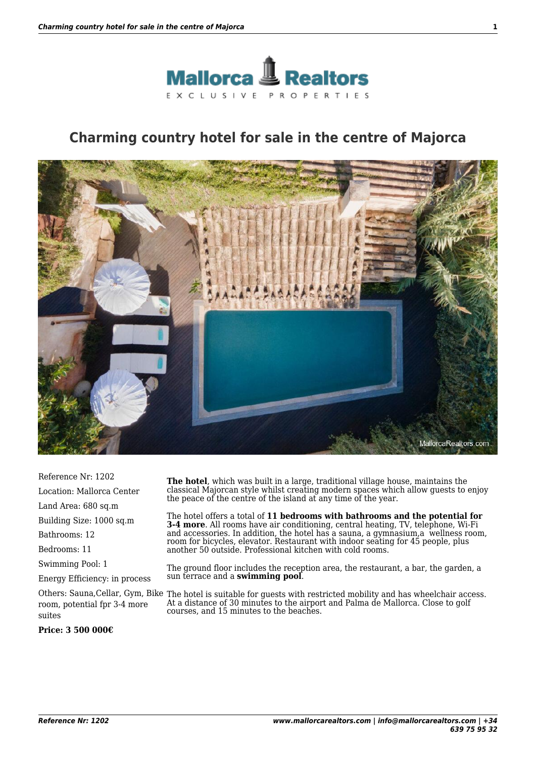

## **[Charming country hotel for sale in the centre of Majorca](https://www.mallorcarealtors.com/property/charming-country-hotel-for-sale-in-the-centre-of-majorca//)**



Reference Nr: 1202 Location: Mallorca Center

Land Area: 680 sq.m

Building Size: 1000 sq.m

Bathrooms: 12

Bedrooms: 11

Swimming Pool: 1

Energy Efficiency: in process

room, potential fpr 3-4 more suites

**Price: 3 500 000€**

**The hotel**, which was built in a large, traditional village house, maintains the classical Majorcan style whilst creating modern spaces which allow guests to enjoy the peace of the centre of the island at any time of the year.

The hotel offers a total of **11 bedrooms with bathrooms and the potential for 3-4 more**. All rooms have air conditioning, central heating, TV, telephone, Wi-Fi and accessories. In addition, the hotel has a sauna, a gymnasium,a wellness room, room for bicycles, elevator. Restaurant with indoor seating for 45 people, plus another 50 outside. Professional kitchen with cold rooms.

The ground floor includes the reception area, the restaurant, a bar, the garden, a sun terrace and a **swimming pool**.

Others: Sauna,Cellar, Gym, Bike The hotel is suitable for guests with restricted mobility and has wheelchair access. At a distance of 30 minutes to the airport and Palma de Mallorca. Close to golf courses, and 15 minutes to the beaches.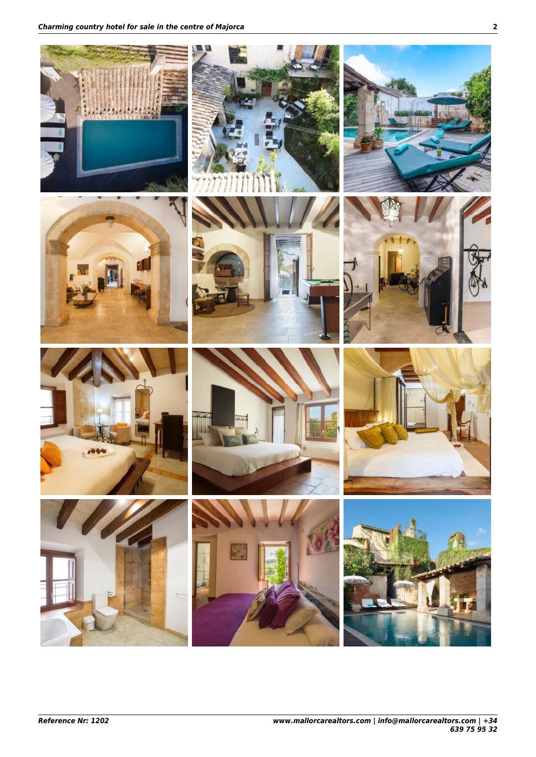